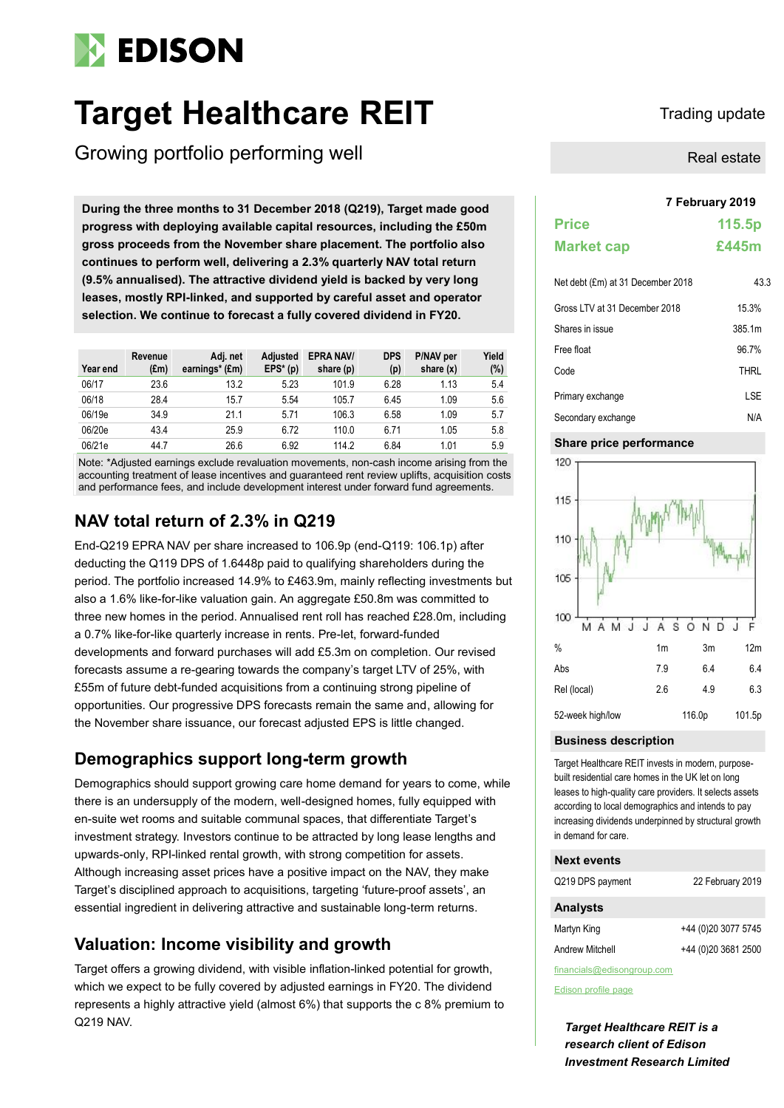

# **Target Healthcare REIT** Trading update

Growing portfolio performing well

During the three months to 31 December 2018 (Q219), Target made good **progress with deploying available capital resources, including the £50m gross proceeds from the November share placement. The portfolio also continues to perform well, delivering a 2.3% quarterly NAV total return (9.5% annualised). The attractive dividend yield is backed by very long leases, mostly RPI-linked, and supported by careful asset and operator selection. We continue to forecast a fully covered dividend in FY20.**

| Year end | Revenue<br>$(\text{Em})$ | Adj. net<br>earnings* (£m) | <b>Adjusted</b><br>$EPS*(p)$ | <b>EPRA NAV/</b><br>share (p) | <b>DPS</b><br>(p) | P/NAV per<br>share $(x)$ | Yield<br>$(\%)$ |
|----------|--------------------------|----------------------------|------------------------------|-------------------------------|-------------------|--------------------------|-----------------|
| 06/17    | 23.6                     | 13.2                       | 5.23                         | 101.9                         | 6.28              | 1.13                     | 5.4             |
| 06/18    | 28.4                     | 15.7                       | 5.54                         | 105.7                         | 6.45              | 1.09                     | 5.6             |
| 06/19e   | 34.9                     | 21.1                       | 5.71                         | 106.3                         | 6.58              | 1.09                     | 5.7             |
| 06/20e   | 43.4                     | 25.9                       | 6.72                         | 110.0                         | 6.71              | 1.05                     | 5.8             |
| 06/21e   | 44.7                     | 26.6                       | 6.92                         | 114.2                         | 6.84              | 1.01                     | 5.9             |

Note: \*Adjusted earnings exclude revaluation movements, non-cash income arising from the accounting treatment of lease incentives and guaranteed rent review uplifts, acquisition costs and performance fees, and include development interest under forward fund agreements.

### **NAV total return of 2.3% in Q219**

End-Q219 EPRA NAV per share increased to 106.9p (end-Q119: 106.1p) after deducting the Q119 DPS of 1.6448p paid to qualifying shareholders during the period. The portfolio increased 14.9% to £463.9m, mainly reflecting investments but also a 1.6% like-for-like valuation gain. An aggregate £50.8m was committed to three new homes in the period. Annualised rent roll has reached £28.0m, including a 0.7% like-for-like quarterly increase in rents. Pre-let, forward-funded developments and forward purchases will add £5.3m on completion. Our revised forecasts assume a re-gearing towards the company's target LTV of 25%, with £55m of future debt-funded acquisitions from a continuing strong pipeline of opportunities. Our progressive DPS forecasts remain the same and, allowing for the November share issuance, our forecast adjusted EPS is little changed.

### **Demographics support long-term growth**

Demographics should support growing care home demand for years to come, while there is an undersupply of the modern, well-designed homes, fully equipped with en-suite wet rooms and suitable communal spaces, that differentiate Target's investment strategy. Investors continue to be attracted by long lease lengths and upwards-only, RPI-linked rental growth, with strong competition for assets. Although increasing asset prices have a positive impact on the NAV, they make Target's disciplined approach to acquisitions, targeting 'future-proof assets', an essential ingredient in delivering attractive and sustainable long-term returns.

### **Valuation: Income visibility and growth**

Target offers a growing dividend, with visible inflation-linked potential for growth, which we expect to be fully covered by adjusted earnings in FY20. The dividend represents a highly attractive yield (almost 6%) that supports the c 8% premium to Q219 NAV.

Real estate

|                                   | 7 February 2019 |  |  |  |  |  |  |
|-----------------------------------|-----------------|--|--|--|--|--|--|
| <b>Price</b>                      | 115.5p          |  |  |  |  |  |  |
| <b>Market cap</b>                 | £445m           |  |  |  |  |  |  |
| Net debt (£m) at 31 December 2018 | 43.3            |  |  |  |  |  |  |
| Gross LTV at 31 December 2018     | 15.3%           |  |  |  |  |  |  |
| Shares in issue                   | 385.1m          |  |  |  |  |  |  |
| Free float                        | 96.7%           |  |  |  |  |  |  |
| Code                              | <b>THRL</b>     |  |  |  |  |  |  |
| Primary exchange                  | LSE             |  |  |  |  |  |  |
| Secondary exchange                | N/A             |  |  |  |  |  |  |

### **Share price performance**



### **Business description**

Target Healthcare REIT invests in modern, purposebuilt residential care homes in the UK let on long leases to high-quality care providers. It selects assets according to local demographics and intends to pay increasing dividends underpinned by structural growth in demand for care.

### **Next events**

| Q219 DPS payment | 22 February 2019     |
|------------------|----------------------|
| <b>Analysts</b>  |                      |
| Martyn King      | +44 (0)20 3077 5745  |
| Andrew Mitchell  | +44 (0) 20 3681 2500 |
|                  |                      |

financials@edisongroup.com

[Edison profile page](https://www.edisoninvestmentresearch.com/research/company/target-healthcare-reit)

*Target Healthcare REIT is a research client of Edison Investment Research Limited*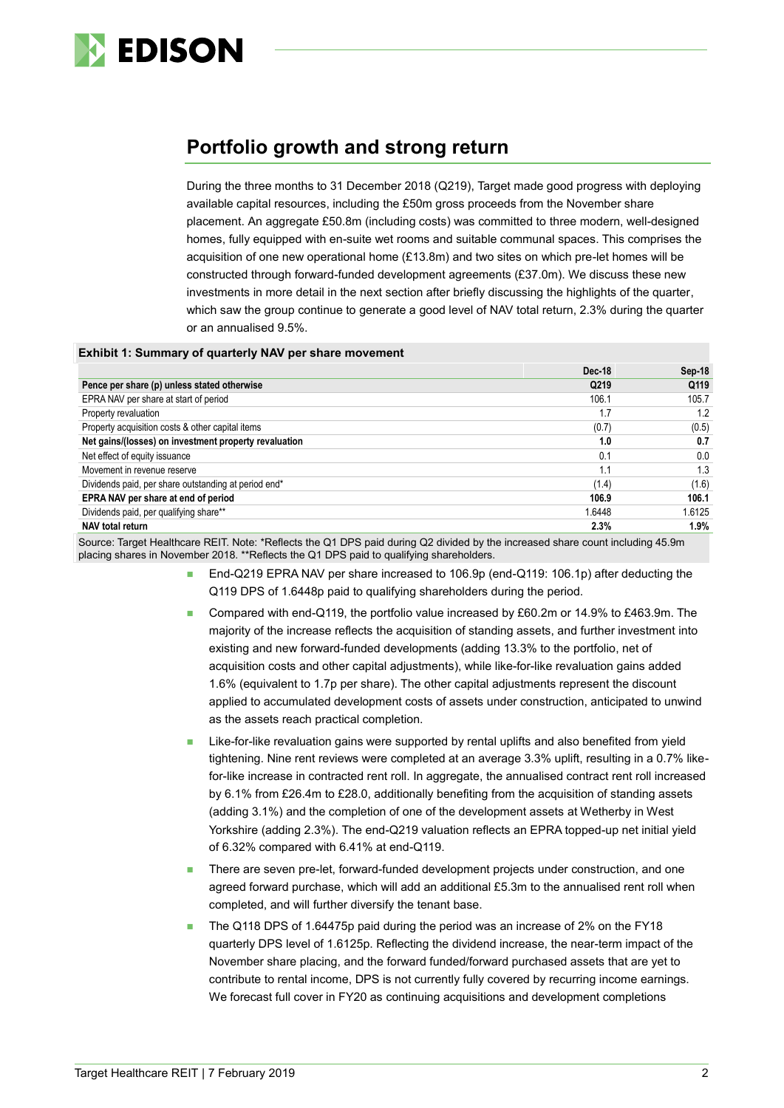

## **Portfolio growth and strong return**

During the three months to 31 December 2018 (Q219), Target made good progress with deploying available capital resources, including the £50m gross proceeds from the November share placement. An aggregate £50.8m (including costs) was committed to three modern, well-designed homes, fully equipped with en-suite wet rooms and suitable communal spaces. This comprises the acquisition of one new operational home  $(E13.8m)$  and two sites on which pre-let homes will be constructed through forward-funded development agreements (£37.0m). We discuss these new investments in more detail in the next section after briefly discussing the highlights of the quarter, which saw the group continue to generate a good level of NAV total return, 2.3% during the quarter or an annualised 9.5%.

### **Exhibit 1: Summary of quarterly NAV per share movement**

|                                                       | <b>Dec-18</b> | Sep 18 |
|-------------------------------------------------------|---------------|--------|
| Pence per share (p) unless stated otherwise           | Q219          | Q119   |
| EPRA NAV per share at start of period                 | 106.1         | 105.7  |
| Property revaluation                                  | 1.7           | 1.2    |
| Property acquisition costs & other capital items      | (0.7)         | (0.5)  |
| Net gains/(losses) on investment property revaluation | 1.0           | 0.7    |
| Net effect of equity issuance                         | 0.1           | 0.0    |
| Movement in revenue reserve                           | 1.1           | 1.3    |
| Dividends paid, per share outstanding at period end*  | (1.4)         | (1.6)  |
| EPRA NAV per share at end of period                   | 106.9         | 106.1  |
| Dividends paid, per qualifying share**                | 1.6448        | 1.6125 |
| NAV total return                                      | 2.3%          | 1.9%   |

Source: Target Healthcare REIT. Note: \*Reflects the Q1 DPS paid during Q2 divided by the increased share count including 45.9m placing shares in November 2018. \*\*Reflects the Q1 DPS paid to qualifying shareholders.

- End-Q219 EPRA NAV per share increased to 106.9p (end-Q119: 106.1p) after deducting the Q119 DPS of 1.6448p paid to qualifying shareholders during the period.
- Compared with end-Q119, the portfolio value increased by £60.2m or 14.9% to £463.9m. The majority of the increase reflects the acquisition of standing assets, and further investment into existing and new forward-funded developments (adding 13.3% to the portfolio, net of acquisition costs and other capital adjustments), while like-for-like revaluation gains added 1.6% (equivalent to 1.7p per share). The other capital adjustments represent the discount applied to accumulated development costs of assets under construction, anticipated to unwind as the assets reach practical completion.
- Like-for-like revaluation gains were supported by rental uplifts and also benefited from yield tightening. Nine rent reviews were completed at an average 3.3% uplift, resulting in a 0.7% likefor-like increase in contracted rent roll. In aggregate, the annualised contract rent roll increased by 6.1% from £26.4m to £28.0, additionally benefiting from the acquisition of standing assets (adding 3.1%) and the completion of one of the development assets at Wetherby in West Yorkshire (adding 2.3%). The end-Q219 valuation reflects an EPRA topped-up net initial yield of 6.32% compared with 6.41% at end-Q119.
- There are seven pre-let, forward-funded development projects under construction, and one agreed forward purchase, which will add an additional £5.3m to the annualised rent roll when completed, and will further diversify the tenant base.
- The Q118 DPS of 1.64475p paid during the period was an increase of 2% on the FY18 quarterly DPS level of 1.6125p. Reflecting the dividend increase, the near-term impact of the November share placing, and the forward funded/forward purchased assets that are yet to contribute to rental income, DPS is not currently fully covered by recurring income earnings. We forecast full cover in FY20 as continuing acquisitions and development completions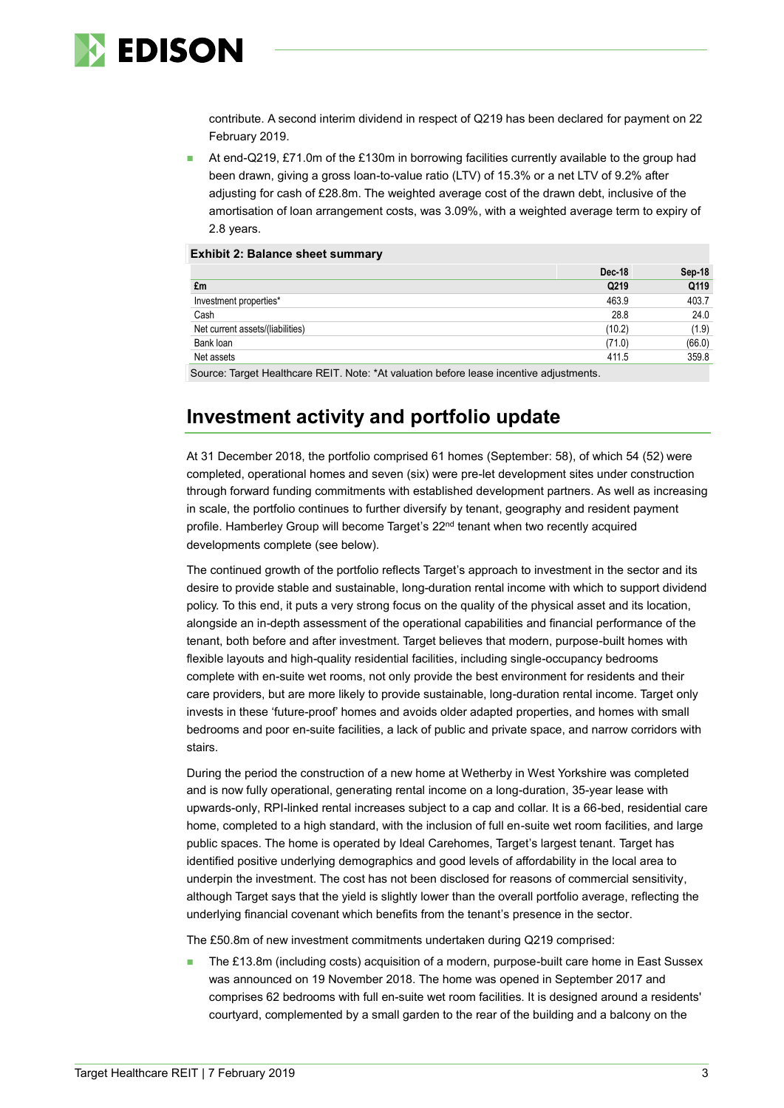

contribute. A second interim dividend in respect of Q219 has been declared for payment on 22 February 2019.

 At end-Q219, £71.0m of the £130m in borrowing facilities currently available to the group had been drawn, giving a gross loan-to-value ratio (LTV) of 15.3% or a net LTV of 9.2% after adjusting for cash of £28.8m. The weighted average cost of the drawn debt, inclusive of the amortisation of loan arrangement costs, was 3.09%, with a weighted average term to expiry of 2.8 years.

|                                                                                                                                                                                                                                                                                              | Dec-18 | Sep-18 |
|----------------------------------------------------------------------------------------------------------------------------------------------------------------------------------------------------------------------------------------------------------------------------------------------|--------|--------|
| £m                                                                                                                                                                                                                                                                                           | Q219   | Q119   |
| Investment properties*                                                                                                                                                                                                                                                                       | 463.9  | 403.7  |
| Cash                                                                                                                                                                                                                                                                                         | 28.8   | 24.0   |
| Net current assets/(liabilities)                                                                                                                                                                                                                                                             | (10.2) | (1.9)  |
| Bank loan                                                                                                                                                                                                                                                                                    | (71.0) | (66.0) |
| Net assets                                                                                                                                                                                                                                                                                   | 411.5  | 359.8  |
| $\bigcap$ concert $\top$ constituted the construction $\top$ of $\top$ and $\top$ and $\top$ $\top$ and $\top$ $\top$ $\top$ $\top$ and $\top$ $\top$ $\top$ and $\top$ $\top$ $\top$ $\top$ and $\top$ $\top$ $\top$ $\top$ $\top$ and $\top$ $\top$ $\top$ $\top$ $\top$ $\top$ $\top$ $\$ |        |        |

Source: Target Healthcare REIT. Note: \*At valuation before lease incentive adjustments.

### **Investment activity and portfolio update**

**Exhibit 2: Balance sheet summary**

At 31 December 2018, the portfolio comprised 61 homes (September: 58), of which 54 (52) were completed, operational homes and seven (six) were pre-let development sites under construction through forward funding commitments with established development partners. As well as increasing in scale, the portfolio continues to further diversify by tenant, geography and resident payment profile. Hamberley Group will become Target's 22<sup>nd</sup> tenant when two recently acquired developments complete (see below).

The continued growth of the portfolio reflects Target's approach to investment in the sector and its desire to provide stable and sustainable, long-duration rental income with which to support dividend policy. To this end, it puts a very strong focus on the quality of the physical asset and its location, alongside an in-depth assessment of the operational capabilities and financial performance of the tenant, both before and after investment. Target believes that modern, purpose-built homes with flexible layouts and high-quality residential facilities, including single-occupancy bedrooms complete with en-suite wet rooms, not only provide the best environment for residents and their care providers, but are more likely to provide sustainable, long-duration rental income. Target only invests in these 'future-proof' homes and avoids older adapted properties, and homes with small bedrooms and poor en-suite facilities, a lack of public and private space, and narrow corridors with stairs.

During the period the construction of a new home at Wetherby in West Yorkshire was completed and is now fully operational, generating rental income on a long-duration, 35-year lease with upwards-only, RPI-linked rental increases subject to a cap and collar. It is a 66-bed, residential care home, completed to a high standard, with the inclusion of full en-suite wet room facilities, and large public spaces. The home is operated by Ideal Carehomes, Target's largest tenant. Target has identified positive underlying demographics and good levels of affordability in the local area to underpin the investment. The cost has not been disclosed for reasons of commercial sensitivity, although Target says that the yield is slightly lower than the overall portfolio average, reflecting the underlying financial covenant which benefits from the tenant's presence in the sector.

The £50.8m of new investment commitments undertaken during Q219 comprised:

 The £13.8m (including costs) acquisition of a modern, purpose-built care home in East Sussex was announced on 19 November 2018. The home was opened in September 2017 and comprises 62 bedrooms with full en-suite wet room facilities. It is designed around a residents' courtyard, complemented by a small garden to the rear of the building and a balcony on the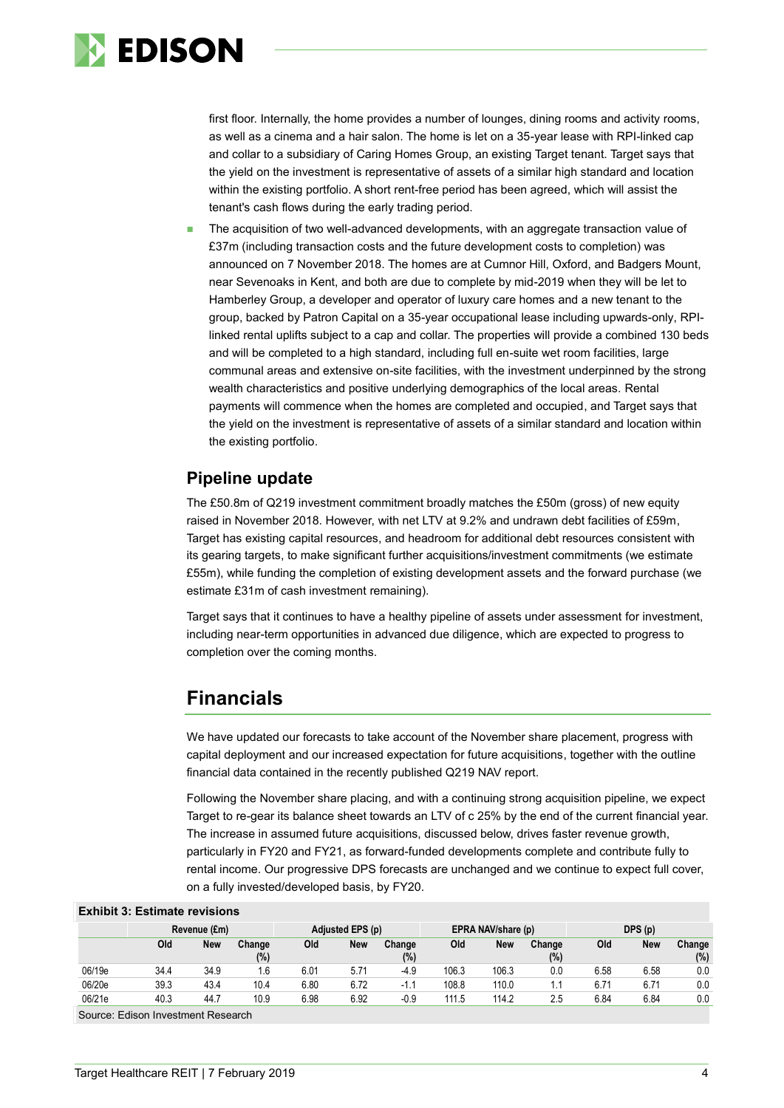

first floor. Internally, the home provides a number of lounges, dining rooms and activity rooms, as well as a cinema and a hair salon. The home is let on a 35-year lease with RPI-linked cap and collar to a subsidiary of Caring Homes Group, an existing Target tenant. Target says that the yield on the investment is representative of assets of a similar high standard and location within the existing portfolio. A short rent-free period has been agreed, which will assist the tenant's cash flows during the early trading period.

 The acquisition of two well-advanced developments, with an aggregate transaction value of £37m (including transaction costs and the future development costs to completion) was announced on 7 November 2018. The homes are at Cumnor Hill, Oxford, and Badgers Mount, near Sevenoaks in Kent, and both are due to complete by mid-2019 when they will be let to Hamberley Group, a developer and operator of luxury care homes and a new tenant to the group, backed by Patron Capital on a 35-year occupational lease including upwards-only, RPIlinked rental uplifts subject to a cap and collar. The properties will provide a combined 130 beds and will be completed to a high standard, including full en-suite wet room facilities, large communal areas and extensive on-site facilities, with the investment underpinned by the strong wealth characteristics and positive underlying demographics of the local areas. Rental payments will commence when the homes are completed and occupied, and Target says that the yield on the investment is representative of assets of a similar standard and location within the existing portfolio.

### **Pipeline update**

The £50.8m of Q219 investment commitment broadly matches the £50m (gross) of new equity raised in November 2018. However, with net LTV at 9.2% and undrawn debt facilities of £59m, Target has existing capital resources, and headroom for additional debt resources consistent with its gearing targets, to make significant further acquisitions/investment commitments (we estimate £55m), while funding the completion of existing development assets and the forward purchase (we estimate £31m of cash investment remaining).

Target says that it continues to have a healthy pipeline of assets under assessment for investment, including near-term opportunities in advanced due diligence, which are expected to progress to completion over the coming months.

### **Financials**

We have updated our forecasts to take account of the November share placement, progress with capital deployment and our increased expectation for future acquisitions, together with the outline financial data contained in the recently published Q219 NAV report.

Following the November share placing, and with a continuing strong acquisition pipeline, we expect Target to re-gear its balance sheet towards an LTV of c 25% by the end of the current financial year. The increase in assumed future acquisitions, discussed below, drives faster revenue growth, particularly in FY20 and FY21, as forward-funded developments complete and contribute fully to rental income. Our progressive DPS forecasts are unchanged and we continue to expect full cover, on a fully invested/developed basis, by FY20.

### **Exhibit 3: Estimate revisions**

|        | Revenue (£m) |            |               |      | Adjusted EPS (p) |                  |       | DPS(p)<br>EPRA NAV/share (p) |               |      |      |               |
|--------|--------------|------------|---------------|------|------------------|------------------|-------|------------------------------|---------------|------|------|---------------|
|        | Old          | <b>New</b> | Change<br>(%) | Old  | New              | Change<br>$(\%)$ | Old   | New                          | Change<br>(%) | Old  | New  | Change<br>(%) |
| 06/19e | 34.4         | 34.9       | . 6           | 6.01 | 5.71             | $-4.9$           | 106.3 | 106.3                        | 0.0           | 6.58 | 6.58 | 0.0           |
| 06/20e | 39.3         | 43.4       | 10.4          | 6.80 | 6.72             | - 1              | 108.8 | 110.0                        |               | 6.71 | 6.71 | 0.0           |
| 06/21e | 40.3         | 44.7       | 10.9          | 6.98 | 6.92             | -0.9             | 111.5 | 114.2                        | 2.5           | 6.84 | 6.84 | 0.0           |

Source: Edison Investment Research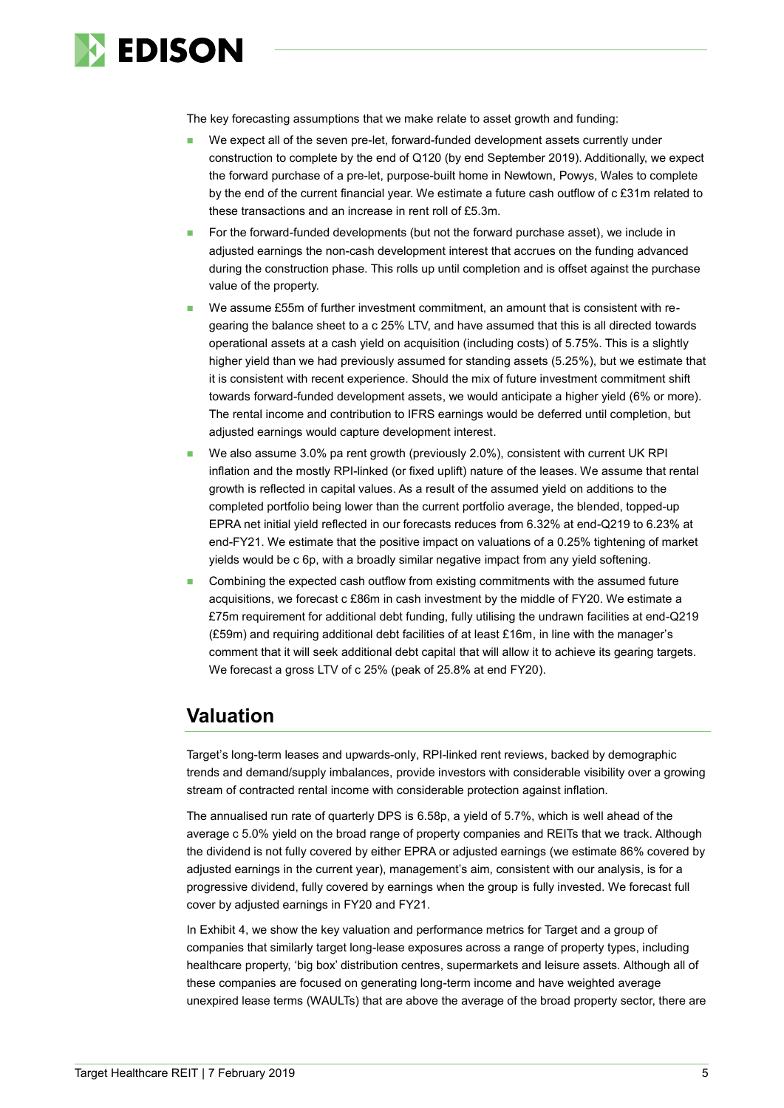

The key forecasting assumptions that we make relate to asset growth and funding:

- We expect all of the seven pre-let, forward-funded development assets currently under construction to complete by the end of Q120 (by end September 2019). Additionally, we expect the forward purchase of a pre-let, purpose-built home in Newtown, Powys, Wales to complete by the end of the current financial year. We estimate a future cash outflow of c £31m related to these transactions and an increase in rent roll of £5.3m.
- For the forward-funded developments (but not the forward purchase asset), we include in adjusted earnings the non-cash development interest that accrues on the funding advanced during the construction phase. This rolls up until completion and is offset against the purchase value of the property.
- We assume £55m of further investment commitment, an amount that is consistent with regearing the balance sheet to a c 25% LTV, and have assumed that this is all directed towards operational assets at a cash yield on acquisition (including costs) of 5.75%. This is a slightly higher yield than we had previously assumed for standing assets (5.25%), but we estimate that it is consistent with recent experience. Should the mix of future investment commitment shift towards forward-funded development assets, we would anticipate a higher yield (6% or more). The rental income and contribution to IFRS earnings would be deferred until completion, but adjusted earnings would capture development interest.
- We also assume 3.0% pa rent growth (previously 2.0%), consistent with current UK RPI inflation and the mostly RPI-linked (or fixed uplift) nature of the leases. We assume that rental growth is reflected in capital values. As a result of the assumed yield on additions to the completed portfolio being lower than the current portfolio average, the blended, topped-up EPRA net initial yield reflected in our forecasts reduces from 6.32% at end-Q219 to 6.23% at end-FY21. We estimate that the positive impact on valuations of a 0.25% tightening of market yields would be c 6p, with a broadly similar negative impact from any yield softening.
- Combining the expected cash outflow from existing commitments with the assumed future acquisitions, we forecast c £86m in cash investment by the middle of FY20. We estimate a £75m requirement for additional debt funding, fully utilising the undrawn facilities at end-Q219 (£59m) and requiring additional debt facilities of at least £16m, in line with the manager's comment that it will seek additional debt capital that will allow it to achieve its gearing targets. We forecast a gross LTV of c 25% (peak of 25.8% at end FY20).

### **Valuation**

Target's long-term leases and upwards-only, RPI-linked rent reviews, backed by demographic trends and demand/supply imbalances, provide investors with considerable visibility over a growing stream of contracted rental income with considerable protection against inflation.

The annualised run rate of quarterly DPS is 6.58p, a yield of 5.7%, which is well ahead of the average c 5.0% yield on the broad range of property companies and REITs that we track. Although the dividend is not fully covered by either EPRA or adjusted earnings (we estimate 86% covered by adjusted earnings in the current year), management's aim, consistent with our analysis, is for a progressive dividend, fully covered by earnings when the group is fully invested. We forecast full cover by adjusted earnings in FY20 and FY21.

In Exhibit 4, we show the key valuation and performance metrics for Target and a group of companies that similarly target long-lease exposures across a range of property types, including healthcare property, 'big box' distribution centres, supermarkets and leisure assets. Although all of these companies are focused on generating long-term income and have weighted average unexpired lease terms (WAULTs) that are above the average of the broad property sector, there are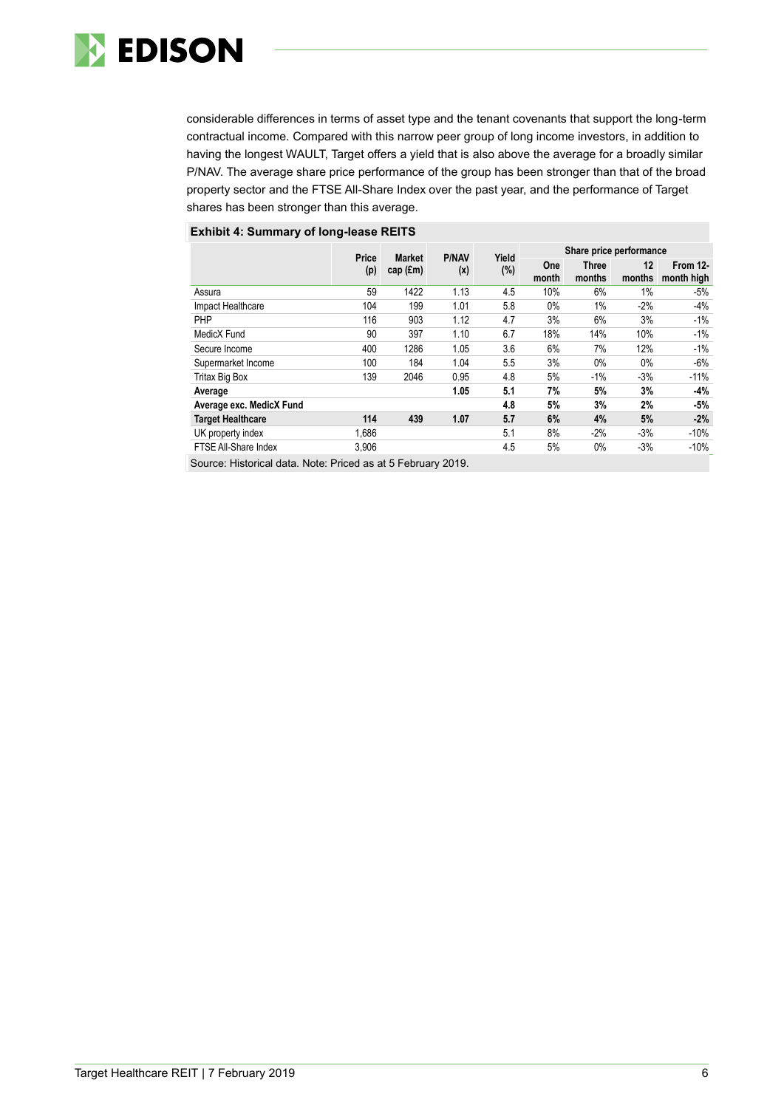

considerable differences in terms of asset type and the tenant covenants that support the long-term contractual income. Compared with this narrow peer group of long income investors, in addition to having the longest WAULT, Target offers a yield that is also above the average for a broadly similar P/NAV. The average share price performance of the group has been stronger than that of the broad property sector and the FTSE All-Share Index over the past year, and the performance of Target shares has been stronger than this average.

### **Exhibit 4: Summary of long-lease REITS**

|                          | Price | <b>Market</b> | <b>P/NAV</b> | Yield |              | Share price performance |              |                        |
|--------------------------|-------|---------------|--------------|-------|--------------|-------------------------|--------------|------------------------|
|                          | (p)   | cap $(f.m)$   | (x)          | (%)   | One<br>month | <b>Three</b><br>months  | 12<br>months | From 12-<br>month high |
| Assura                   | 59    | 1422          | 1.13         | 4.5   | 10%          | 6%                      | 1%           | $-5%$                  |
| Impact Healthcare        | 104   | 199           | 1.01         | 5.8   | $0\%$        | 1%                      | $-2%$        | $-4%$                  |
| PHP                      | 116   | 903           | 1.12         | 4.7   | 3%           | 6%                      | 3%           | $-1%$                  |
| MedicX Fund              | 90    | 397           | 1.10         | 6.7   | 18%          | 14%                     | 10%          | $-1%$                  |
| Secure Income            | 400   | 1286          | 1.05         | 3.6   | 6%           | 7%                      | 12%          | $-1%$                  |
| Supermarket Income       | 100   | 184           | 1.04         | 5.5   | 3%           | $0\%$                   | $0\%$        | $-6%$                  |
| Tritax Big Box           | 139   | 2046          | 0.95         | 4.8   | 5%           | $-1%$                   | $-3%$        | $-11%$                 |
| Average                  |       |               | 1.05         | 5.1   | 7%           | 5%                      | 3%           | $-4%$                  |
| Average exc. MedicX Fund |       |               |              | 4.8   | 5%           | 3%                      | 2%           | $-5%$                  |
| <b>Target Healthcare</b> | 114   | 439           | 1.07         | 5.7   | 6%           | 4%                      | 5%           | $-2%$                  |
| UK property index        | 1.686 |               |              | 5.1   | 8%           | $-2%$                   | $-3%$        | $-10%$                 |
| FTSE All-Share Index     | 3,906 |               |              | 4.5   | 5%           | $0\%$                   | $-3%$        | $-10%$                 |

Source: Historical data. Note: Priced as at 5 February 2019.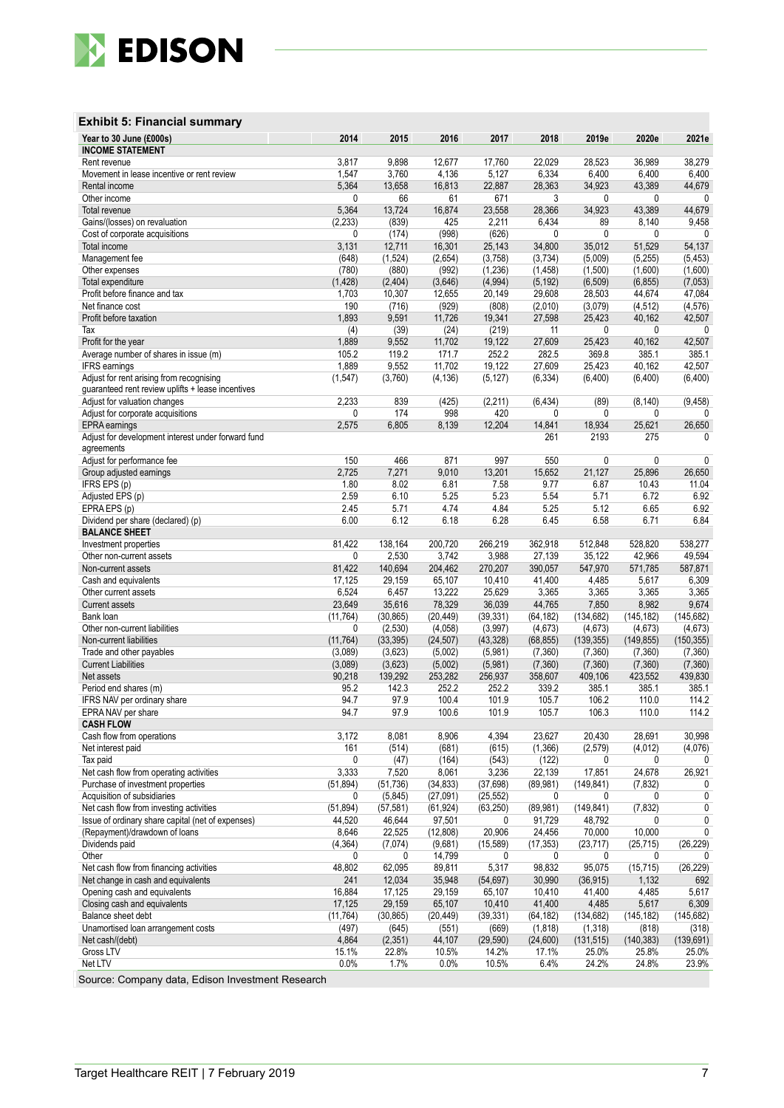

### **Exhibit 5: Financial summary**

| Year to 30 June (£000s)<br><b>INCOME STATEMENT</b>                                            | 2014      | 2015      | 2016      | 2017      | 2018      | 2019e      | 2020e      | 2021e      |
|-----------------------------------------------------------------------------------------------|-----------|-----------|-----------|-----------|-----------|------------|------------|------------|
| Rent revenue                                                                                  | 3,817     | 9,898     | 12,677    | 17,760    | 22,029    | 28,523     | 36,989     | 38,279     |
| Movement in lease incentive or rent review                                                    | 1,547     | 3,760     | 4,136     | 5,127     | 6,334     | 6,400      | 6,400      | 6,400      |
| Rental income                                                                                 | 5,364     | 13,658    | 16,813    | 22,887    | 28,363    | 34,923     | 43,389     | 44,679     |
| Other income                                                                                  | 0         | 66        | 61        | 671       | 3         | 0          | 0          | 0          |
| Total revenue                                                                                 | 5,364     | 13,724    | 16,874    | 23,558    | 28,366    | 34,923     | 43,389     | 44,679     |
| Gains/(losses) on revaluation                                                                 | (2, 233)  | (839)     | 425       | 2,211     | 6,434     | 89         | 8,140      | 9,458      |
| Cost of corporate acquisitions                                                                | 0         | (174)     | (998)     | (626)     | 0         | 0          | 0          |            |
| Total income                                                                                  | 3,131     | 12,711    | 16,301    | 25,143    | 34,800    | 35,012     | 51,529     | 54,137     |
| Management fee                                                                                | (648)     | (1,524)   | (2,654)   | (3,758)   | (3,734)   | (5,009)    | (5, 255)   | (5, 453)   |
| Other expenses                                                                                | (780)     | (880)     | (992)     | (1, 236)  | (1, 458)  | (1,500)    | (1,600)    | (1,600)    |
| Total expenditure                                                                             | (1, 428)  | (2, 404)  | (3,646)   | (4,994)   | (5, 192)  | (6,509)    | (6, 855)   | (7,053)    |
| Profit before finance and tax                                                                 | 1,703     | 10,307    | 12,655    | 20,149    | 29,608    | 28,503     | 44,674     | 47,084     |
| Net finance cost                                                                              | 190       | (716)     | (929)     | (808)     | (2,010)   | (3,079)    | (4, 512)   | (4, 576)   |
| Profit before taxation                                                                        | 1,893     | 9,591     | 11,726    | 19,341    | 27,598    | 25,423     | 40,162     | 42,507     |
| Tax                                                                                           | (4)       | (39)      | (24)      | (219)     | 11        | 0          | 0          | 0          |
| Profit for the year                                                                           | 1,889     | 9,552     | 11,702    | 19,122    | 27,609    | 25,423     | 40,162     | 42,507     |
| Average number of shares in issue (m)                                                         | 105.2     | 119.2     | 171.7     | 252.2     | 282.5     | 369.8      | 385.1      | 385.1      |
| <b>IFRS</b> earnings                                                                          | 1,889     | 9,552     | 11,702    | 19,122    | 27,609    | 25,423     | 40,162     | 42,507     |
| Adjust for rent arising from recognising<br>guaranteed rent review uplifts + lease incentives | (1, 547)  | (3,760)   | (4, 136)  | (5, 127)  | (6, 334)  | (6, 400)   | (6, 400)   | (6,400)    |
| Adjust for valuation changes                                                                  | 2,233     | 839       | (425)     | (2, 211)  | (6, 434)  | (89)       | (8, 140)   | (9, 458)   |
| Adjust for corporate acquisitions                                                             | 0         | 174       | 998       | 420       | 0         | 0          | 0          | 0          |
| EPRA earnings                                                                                 | 2,575     | 6,805     | 8,139     | 12,204    | 14,841    | 18,934     | 25,621     | 26,650     |
| Adjust for development interest under forward fund<br>agreements                              |           |           |           |           | 261       | 2193       | 275        | $\Omega$   |
| Adjust for performance fee                                                                    | 150       | 466       | 871       | 997       | 550       | 0          | 0          | 0          |
| Group adjusted earnings                                                                       | 2,725     | 7,271     | 9,010     | 13,201    | 15,652    | 21,127     | 25,896     | 26,650     |
| IFRS EPS (p)                                                                                  | 1.80      | 8.02      | 6.81      | 7.58      | 9.77      | 6.87       | 10.43      | 11.04      |
| Adjusted EPS (p)                                                                              | 2.59      | 6.10      | 5.25      | 5.23      | 5.54      | 5.71       | 6.72       | 6.92       |
| EPRA EPS (p)                                                                                  | 2.45      | 5.71      | 4.74      | 4.84      | 5.25      | 5.12       | 6.65       | 6.92       |
| Dividend per share (declared) (p)<br><b>BALANCE SHEET</b>                                     | 6.00      | 6.12      | 6.18      | 6.28      | 6.45      | 6.58       | 6.71       | 6.84       |
| Investment properties                                                                         | 81,422    | 138,164   | 200,720   | 266,219   | 362,918   | 512,848    | 528,820    | 538,277    |
| Other non-current assets                                                                      | 0         | 2,530     | 3,742     | 3,988     | 27,139    | 35,122     | 42,966     | 49,594     |
| Non-current assets                                                                            | 81,422    | 140,694   | 204,462   | 270,207   | 390,057   | 547,970    | 571,785    | 587,871    |
| Cash and equivalents                                                                          | 17,125    | 29,159    | 65,107    | 10,410    | 41,400    | 4,485      | 5,617      | 6,309      |
| Other current assets                                                                          | 6,524     | 6,457     | 13,222    | 25,629    | 3,365     | 3,365      | 3,365      | 3,365      |
| <b>Current assets</b>                                                                         | 23,649    | 35,616    | 78,329    | 36,039    | 44,765    | 7,850      | 8,982      | 9,674      |
| Bank loan                                                                                     | (11, 764) | (30, 865) | (20, 449) | (39, 331) | (64, 182) | (134, 682) | (145, 182) | (145, 682) |
| Other non-current liabilities                                                                 | 0         | (2,530)   | (4,058)   | (3,997)   | (4,673)   | (4, 673)   | (4, 673)   | (4,673)    |
| Non-current liabilities                                                                       | (11, 764) | (33, 395) | (24, 507) | (43, 328) | (68, 855) | (139, 355) | (149, 855) | (150, 355) |
| Trade and other payables                                                                      | (3,089)   | (3,623)   | (5,002)   | (5,981)   | (7,360)   | (7, 360)   | (7, 360)   | (7, 360)   |
| <b>Current Liabilities</b>                                                                    | (3,089)   | (3,623)   | (5,002)   | (5,981)   | (7, 360)  | (7, 360)   | (7, 360)   | (7,360)    |
| Net assets                                                                                    | 90,218    | 139,292   | 253,282   | 256,937   | 358,607   | 409,106    | 423,552    | 439,830    |
| Period end shares (m)                                                                         | 95.2      | 142.3     | 252.2     | 252.2     | 339.2     | 385.1      | 385.1      | 385.1      |
| IFRS NAV per ordinary share                                                                   | 94.7      | 97.9      | 100.4     | 101.9     | 105.7     | 106.2      | 110.0      | 114.2      |
| EPRA NAV per share<br><b>CASH FLOW</b>                                                        | 94.7      | 97.9      | 100.6     | 101.9     | 105.7     | 106.3      | 110.0      | 114.2      |
| Cash flow from operations                                                                     | 3,172     | 8,081     | 8,906     | 4,394     | 23,627    | 20,430     | 28,691     | 30,998     |
| Net interest paid                                                                             | 161       | (514)     | (681)     | (615)     | (1,366)   | (2,579)    | (4, 012)   | (4,076)    |
| Tax paid                                                                                      | 0         | (47)      | (164)     | (543)     | (122)     | 0          | 0          | 0          |
| Net cash flow from operating activities                                                       | 3,333     | 7,520     | 8,061     | 3,236     | 22,139    | 17,851     | 24,678     | 26,921     |
| Purchase of investment properties                                                             | (51, 894) | (51, 736) | (34, 833) | (37, 698) | (89, 981) | (149.841)  | (7, 832)   | 0          |
| Acquisition of subsidiaries                                                                   | 0         | (5, 845)  | (27,091)  | (25, 552) | 0         | 0          | 0          | 0          |
| Net cash flow from investing activities                                                       | (51, 894) | (57, 581) | (61, 924) | (63, 250) | (89, 981) | (149, 841) | (7, 832)   | 0          |
| Issue of ordinary share capital (net of expenses)                                             | 44,520    | 46,644    | 97,501    | 0         | 91,729    | 48,792     | 0          | 0          |
| (Repayment)/drawdown of loans                                                                 | 8,646     | 22,525    | (12,808)  | 20,906    | 24,456    | 70,000     | 10,000     | 0          |
| Dividends paid                                                                                | (4, 364)  | (7,074)   | (9,681)   | (15, 589) | (17, 353) | (23, 717)  | (25, 715)  | (26, 229)  |
| Other                                                                                         | 0         | 0         | 14,799    | 0         | 0         | 0          | 0          |            |
| Net cash flow from financing activities                                                       | 48,802    | 62,095    | 89,811    | 5,317     | 98,832    | 95,075     | (15, 715)  | (26, 229)  |
| Net change in cash and equivalents                                                            | 241       | 12,034    | 35,948    | (54, 697) | 30,990    | (36, 915)  | 1,132      | 692        |
| Opening cash and equivalents                                                                  | 16,884    | 17,125    | 29,159    | 65,107    | 10,410    | 41,400     | 4,485      | 5,617      |
| Closing cash and equivalents                                                                  | 17,125    | 29,159    | 65,107    | 10,410    | 41,400    | 4,485      | 5,617      | 6,309      |
| Balance sheet debt                                                                            | (11, 764) | (30, 865) | (20, 449) | (39, 331) | (64, 182) | (134, 682) | (145, 182) | (145, 682) |
| Unamortised loan arrangement costs                                                            | (497)     | (645)     | (551)     | (669)     | (1, 818)  | (1, 318)   | (818)      | (318)      |
| Net cash/(debt)                                                                               | 4,864     | (2, 351)  | 44,107    | (29, 590) | (24,600)  | (131, 515) | (140, 383) | (139, 691) |
| Gross LTV                                                                                     | 15.1%     | 22.8%     | 10.5%     | 14.2%     | 17.1%     | 25.0%      | 25.8%      | 25.0%      |
| Net LTV                                                                                       | 0.0%      | 1.7%      | 0.0%      | 10.5%     | 6.4%      | 24.2%      | 24.8%      | 23.9%      |

Source: Company data, Edison Investment Research